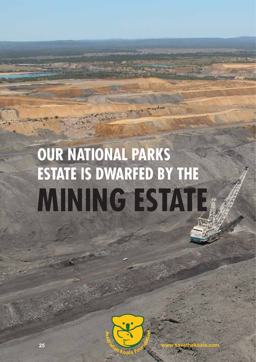## **OUR NATIONAL PARKS ESTATE IS DWARFED BY THE MINING ESTATE**



**25 www.savethekoala.com**